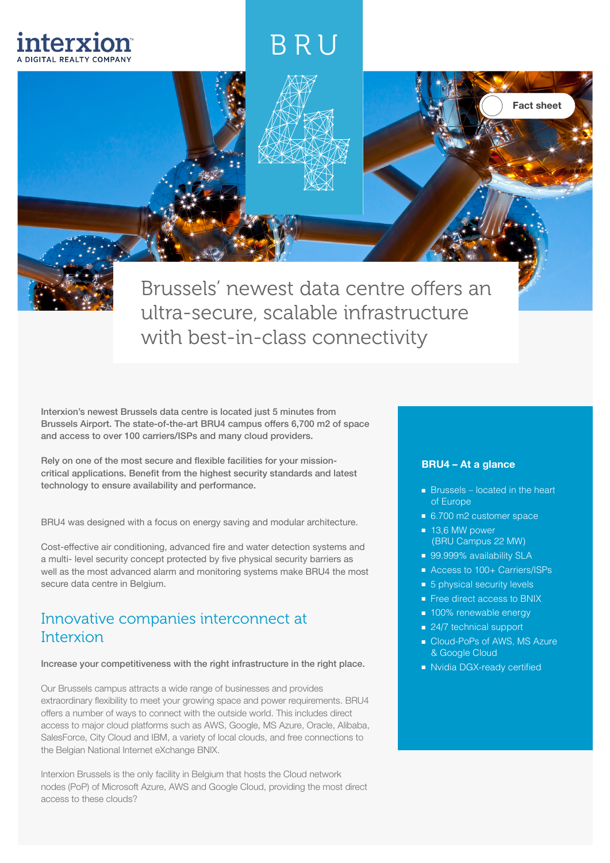# BRU

Brussels' newest data centre offers an ultra-secure, scalable infrastructure with best-in-class connectivity

Interxion's newest Brussels data centre is located just 5 minutes from Brussels Airport. The state-of-the-art BRU4 campus offers 6,700 m2 of space and access to over 100 carriers/ISPs and many cloud providers.

interxion

Rely on one of the most secure and flexible facilities for your missioncritical applications. Benefit from the highest security standards and latest technology to ensure availability and performance.

BRU4 was designed with a focus on energy saving and modular architecture.

Cost-effective air conditioning, advanced fire and water detection systems and a multi- level security concept protected by five physical security barriers as well as the most advanced alarm and monitoring systems make BRU4 the most secure data centre in Belgium.

### Innovative companies interconnect at Interxion

#### Increase your competitiveness with the right infrastructure in the right place.

Our Brussels campus attracts a wide range of businesses and provides extraordinary flexibility to meet your growing space and power requirements. BRU4 offers a number of ways to connect with the outside world. This includes direct access to major cloud platforms such as AWS, Google, MS Azure, Oracle, Alibaba, SalesForce, City Cloud and IBM, a variety of local clouds, and free connections to the Belgian National Internet eXchange BNIX.

Interxion Brussels is the only facility in Belgium that hosts the Cloud network nodes (PoP) of Microsoft Azure, AWS and Google Cloud, providing the most direct access to these clouds?

#### **BRU4 – At a glance**

■ Brussels – located in the heart of Europe

Fact sheet

- 6.700 m2 customer space
- 13,6 MW power (BRU Campus 22 MW)
- 99.999% availability SLA
- Access to 100+ Carriers/ISPs
- 5 physical security levels
- Free direct access to BNIX
- 100% renewable energy
- 24/7 technical support
- Cloud-PoPs of AWS, MS Azure & Google Cloud
- Nvidia DGX-ready certified